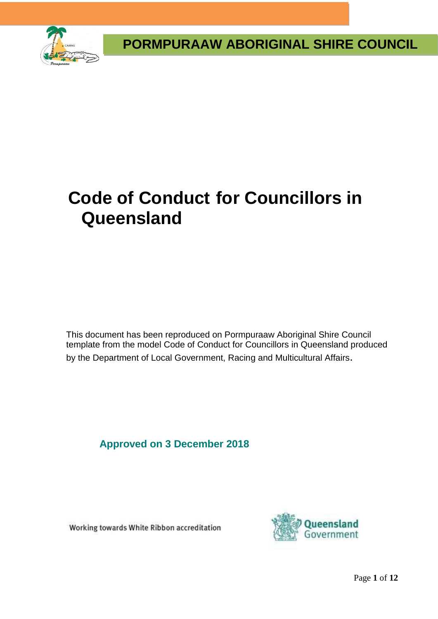

# **Code of Conduct for Councillors in Queensland**

This document has been reproduced on Pormpuraaw Aboriginal Shire Council template from the model Code of Conduct for Councillors in Queensland produced by the Department of Local Government, Racing and Multicultural Affairs.

#### **Approved on 3 December 2018**

Working towards White Ribbon accreditation

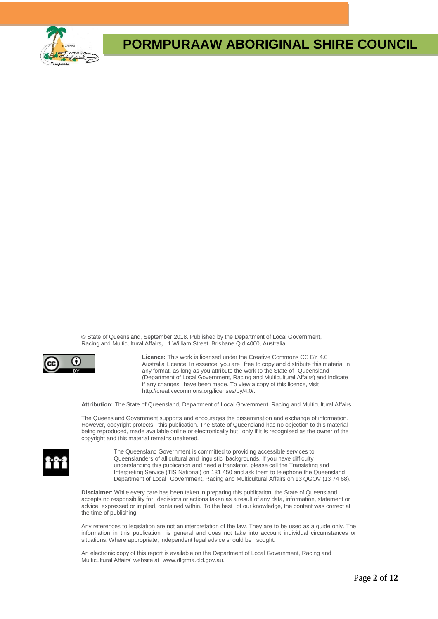

© State of Queensland, September 2018. Published by the Department of Local Government, Racing and Multicultural Affairs**,** 1 William Street, Brisbane Qld 4000, Australia.



**Licence:** This work is licensed under the Creative Commons CC BY 4.0 Australia Licence. In essence, you are free to copy and distribute this material in any format, as long as you attribute the work to the State of Queensland (Department of Local Government, Racing and Multicultural Affairs) and indicate if any changes have been made. To view a copy of this licence, visit [http://creativecommons.org/licenses/by/4.0/.](http://creativecommons.org/licenses/by/4.0/)

**Attribution:** The State of Queensland, Department of Local Government, Racing and Multicultural Affairs.

The Queensland Government supports and encourages the dissemination and exchange of information. However, copyright protects this publication. The State of Queensland has no objection to this material being reproduced, made available online or electronically but only if it is recognised as the owner of the copyright and this material remains unaltered.



The Queensland Government is committed to providing accessible services to Queenslanders of all cultural and linguistic backgrounds. If you have difficulty understanding this publication and need a translator, please call the Translating and Interpreting Service (TIS National) on 131 450 and ask them to telephone the Queensland Department of Local Government, Racing and Multicultural Affairs on 13 QGOV (13 74 68).

**Disclaimer:** While every care has been taken in preparing this publication, the State of Queensland accepts no responsibility for decisions or actions taken as a result of any data, information, statement or advice, expressed or implied, contained within. To the best of our knowledge, the content was correct at the time of publishing.

Any references to legislation are not an interpretation of the law. They are to be used as a guide only. The information in this publication is general and does not take into account individual circumstances or situations. Where appropriate, independent legal advice should be sought.

An electronic copy of this report is available on the Department of Local Government, Racing and Multicultural Affairs' website at [www.dlgrma.qld.gov.au.](http://www.dilgp.qld.gov.au/)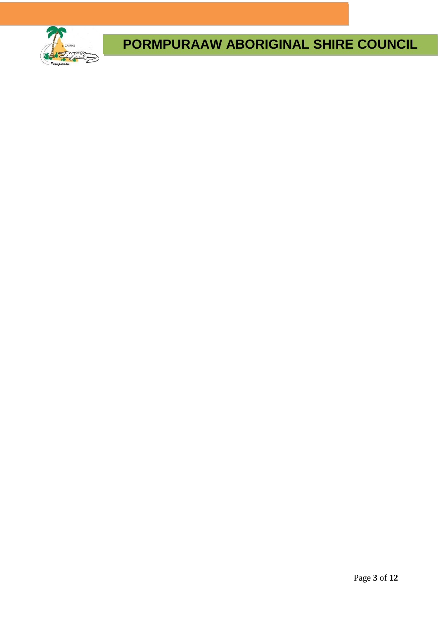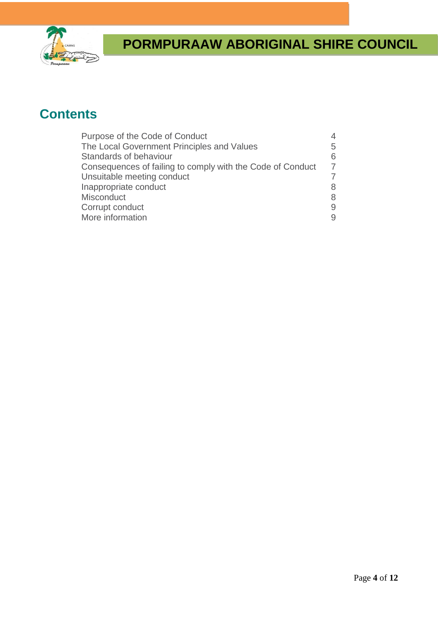

# **Contents**

| Purpose of the Code of Conduct                             | $\overline{4}$ |
|------------------------------------------------------------|----------------|
| The Local Government Principles and Values                 | 5              |
| <b>Standards of behaviour</b>                              | 6              |
| Consequences of failing to comply with the Code of Conduct | 7              |
| Unsuitable meeting conduct                                 | 7              |
| Inappropriate conduct                                      | 8              |
| <b>Misconduct</b>                                          | 8              |
| Corrupt conduct                                            | 9              |
| More information                                           | 9              |
|                                                            |                |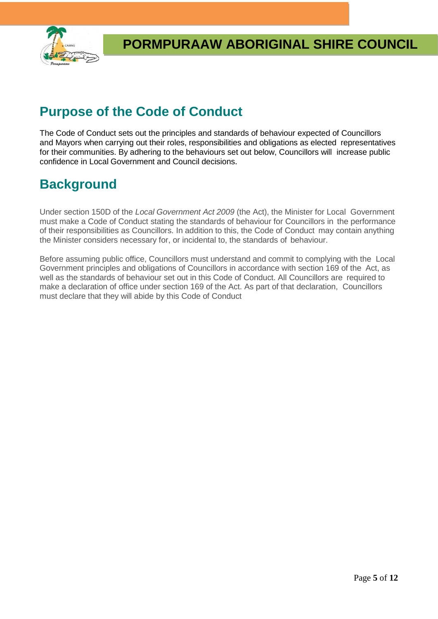

## **Purpose of the Code of Conduct**

The Code of Conduct sets out the principles and standards of behaviour expected of Councillors and Mayors when carrying out their roles, responsibilities and obligations as elected representatives for their communities. By adhering to the behaviours set out below, Councillors will increase public confidence in Local Government and Council decisions.

## **Background**

Under section 150D of the *Local Government Act 2009* (the Act), the Minister for Local Government must make a Code of Conduct stating the standards of behaviour for Councillors in the performance of their responsibilities as Councillors. In addition to this, the Code of Conduct may contain anything the Minister considers necessary for, or incidental to, the standards of behaviour.

Before assuming public office, Councillors must understand and commit to complying with the Local Government principles and obligations of Councillors in accordance with section 169 of the Act, as well as the standards of behaviour set out in this Code of Conduct. All Councillors are required to make a declaration of office under section 169 of the Act. As part of that declaration, Councillors must declare that they will abide by this Code of Conduct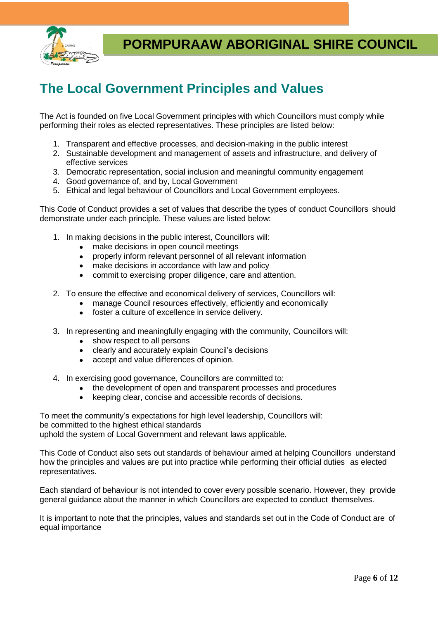

## **The Local Government Principles and Values**

The Act is founded on five Local Government principles with which Councillors must comply while performing their roles as elected representatives. These principles are listed below:

- 1. Transparent and effective processes, and decision-making in the public interest
- 2. Sustainable development and management of assets and infrastructure, and delivery of effective services
- 3. Democratic representation, social inclusion and meaningful community engagement
- 4. Good governance of, and by, Local Government
- 5. Ethical and legal behaviour of Councillors and Local Government employees.

This Code of Conduct provides a set of values that describe the types of conduct Councillors should demonstrate under each principle. These values are listed below:

- 1. In making decisions in the public interest, Councillors will:
	- make decisions in open council meetings
	- properly inform relevant personnel of all relevant information
	- make decisions in accordance with law and policy
	- commit to exercising proper diligence, care and attention.
- 2. To ensure the effective and economical delivery of services, Councillors will:
	- manage Council resources effectively, efficiently and economically
		- foster a culture of excellence in service delivery.
- 3. In representing and meaningfully engaging with the community, Councillors will:
	- show respect to all persons
	- clearly and accurately explain Council's decisions
	- accept and value differences of opinion.
- 4. In exercising good governance, Councillors are committed to:
	- the development of open and transparent processes and procedures
	- keeping clear, concise and accessible records of decisions.

To meet the community's expectations for high level leadership, Councillors will: be committed to the highest ethical standards uphold the system of Local Government and relevant laws applicable.

This Code of Conduct also sets out standards of behaviour aimed at helping Councillors understand how the principles and values are put into practice while performing their official duties as elected representatives.

Each standard of behaviour is not intended to cover every possible scenario. However, they provide general guidance about the manner in which Councillors are expected to conduct themselves.

It is important to note that the principles, values and standards set out in the Code of Conduct are of equal importance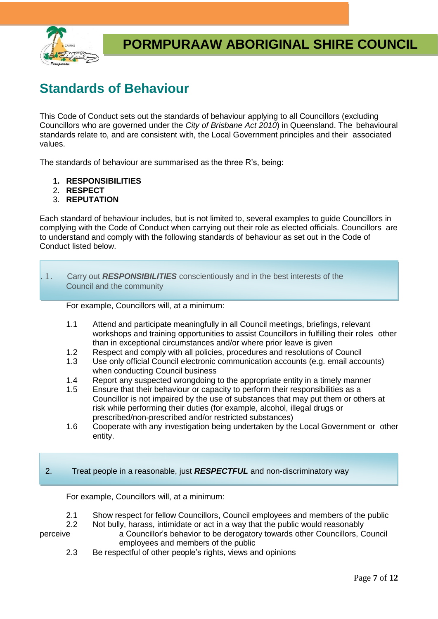

## **Standards of Behaviour**

This Code of Conduct sets out the standards of behaviour applying to all Councillors (excluding Councillors who are governed under the *City of Brisbane Act 2010*) in Queensland. The behavioural standards relate to, and are consistent with, the Local Government principles and their associated values.

The standards of behaviour are summarised as the three R's, being:

- **1. RESPONSIBILITIES**
- 2. **RESPECT**
- 3. **REPUTATION**

Each standard of behaviour includes, but is not limited to, several examples to guide Councillors in complying with the Code of Conduct when carrying out their role as elected officials. Councillors are to understand and comply with the following standards of behaviour as set out in the Code of Conduct listed below.

. 1. Carry out *RESPONSIBILITIES* conscientiously and in the best interests of the Council and the community

For example, Councillors will, at a minimum:

- 1.1 Attend and participate meaningfully in all Council meetings, briefings, relevant workshops and training opportunities to assist Councillors in fulfilling their roles other than in exceptional circumstances and/or where prior leave is given
- 1.2 Respect and comply with all policies, procedures and resolutions of Council
- 1.3 Use only official Council electronic communication accounts (e.g. email accounts) when conducting Council business
- 1.4 Report any suspected wrongdoing to the appropriate entity in a timely manner
- 1.5 Ensure that their behaviour or capacity to perform their responsibilities as a Councillor is not impaired by the use of substances that may put them or others at risk while performing their duties (for example, alcohol, illegal drugs or prescribed/non-prescribed and/or restricted substances)
- 1.6 Cooperate with any investigation being undertaken by the Local Government or other entity.

#### 2. Treat people in a reasonable, just *RESPECTFUL* and non-discriminatory way

For example, Councillors will, at a minimum:

2.1 Show respect for fellow Councillors, Council employees and members of the public

2.2 Not bully, harass, intimidate or act in a way that the public would reasonably

- perceive a Councillor's behavior to be derogatory towards other Councillors, Council employees and members of the public
	- 2.3 Be respectful of other people's rights, views and opinions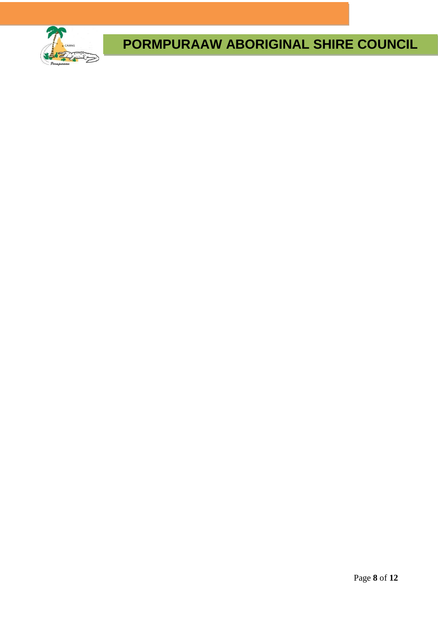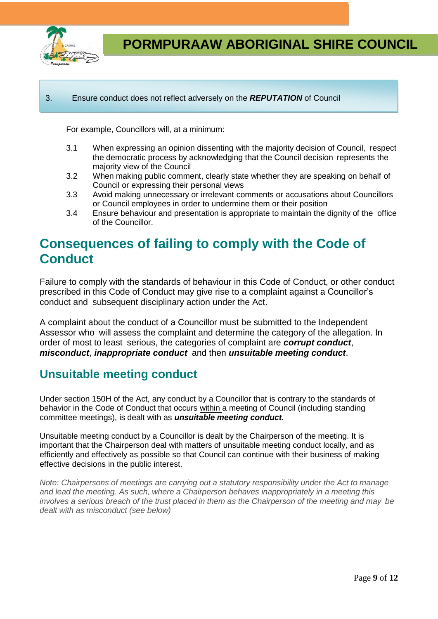

#### 3. Ensure conduct does not reflect adversely on the *REPUTATION* of Council

For example, Councillors will, at a minimum:

- 3.1 When expressing an opinion dissenting with the majority decision of Council, respect the democratic process by acknowledging that the Council decision represents the majority view of the Council
- 3.2 When making public comment, clearly state whether they are speaking on behalf of Council or expressing their personal views
- 3.3 Avoid making unnecessary or irrelevant comments or accusations about Councillors or Council employees in order to undermine them or their position
- 3.4 Ensure behaviour and presentation is appropriate to maintain the dignity of the office of the Councillor.

## **Consequences of failing to comply with the Code of Conduct**

Failure to comply with the standards of behaviour in this Code of Conduct, or other conduct prescribed in this Code of Conduct may give rise to a complaint against a Councillor's conduct and subsequent disciplinary action under the Act.

A complaint about the conduct of a Councillor must be submitted to the Independent Assessor who will assess the complaint and determine the category of the allegation. In order of most to least serious, the categories of complaint are *corrupt conduct*, *misconduct*, *inappropriate conduct* and then *unsuitable meeting conduct*.

#### **Unsuitable meeting conduct**

Under section 150H of the Act, any conduct by a Councillor that is contrary to the standards of behavior in the Code of Conduct that occurs within a meeting of Council (including standing committee meetings), is dealt with as *unsuitable meeting conduct.*

Unsuitable meeting conduct by a Councillor is dealt by the Chairperson of the meeting. It is important that the Chairperson deal with matters of unsuitable meeting conduct locally, and as efficiently and effectively as possible so that Council can continue with their business of making effective decisions in the public interest.

*Note: Chairpersons of meetings are carrying out a statutory responsibility under the Act to manage and lead the meeting. As such, where a Chairperson behaves inappropriately in a meeting this involves a serious breach of the trust placed in them as the Chairperson of the meeting and may be dealt with as misconduct (see below)*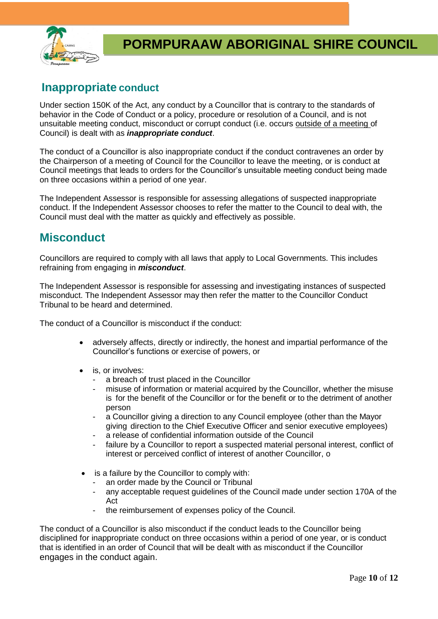

### **Inappropriate conduct**

Under section 150K of the Act, any conduct by a Councillor that is contrary to the standards of behavior in the Code of Conduct or a policy, procedure or resolution of a Council, and is not unsuitable meeting conduct, misconduct or corrupt conduct (i.e. occurs outside of a meeting of Council) is dealt with as *inappropriate conduct*.

The conduct of a Councillor is also inappropriate conduct if the conduct contravenes an order by the Chairperson of a meeting of Council for the Councillor to leave the meeting, or is conduct at Council meetings that leads to orders for the Councillor's unsuitable meeting conduct being made on three occasions within a period of one year.

The Independent Assessor is responsible for assessing allegations of suspected inappropriate conduct. If the Independent Assessor chooses to refer the matter to the Council to deal with, the Council must deal with the matter as quickly and effectively as possible.

### **Misconduct**

Councillors are required to comply with all laws that apply to Local Governments. This includes refraining from engaging in *misconduct*.

The Independent Assessor is responsible for assessing and investigating instances of suspected misconduct. The Independent Assessor may then refer the matter to the Councillor Conduct Tribunal to be heard and determined.

The conduct of a Councillor is misconduct if the conduct:

- adversely affects, directly or indirectly, the honest and impartial performance of the Councillor's functions or exercise of powers, or
- is, or involves:
	- a breach of trust placed in the Councillor
	- misuse of information or material acquired by the Councillor, whether the misuse is for the benefit of the Councillor or for the benefit or to the detriment of another person
	- a Councillor giving a direction to any Council employee (other than the Mayor giving direction to the Chief Executive Officer and senior executive employees)
	- a release of confidential information outside of the Council
	- failure by a Councillor to report a suspected material personal interest, conflict of interest or perceived conflict of interest of another Councillor, o
- is a failure by the Councillor to comply with:
	- an order made by the Council or Tribunal
	- any acceptable request guidelines of the Council made under section 170A of the Act
	- the reimbursement of expenses policy of the Council.

The conduct of a Councillor is also misconduct if the conduct leads to the Councillor being disciplined for inappropriate conduct on three occasions within a period of one year, or is conduct that is identified in an order of Council that will be dealt with as misconduct if the Councillor engages in the conduct again.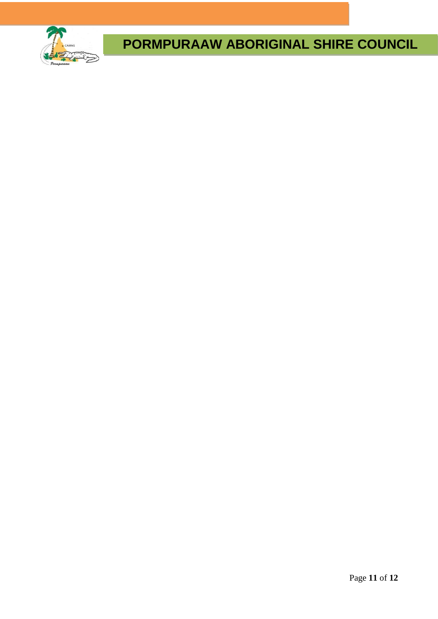